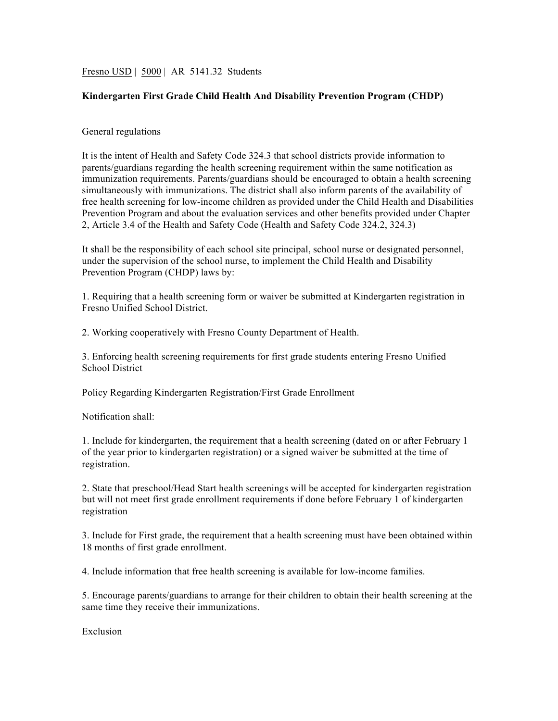Fresno USD | 5000 | AR 5141.32 Students

## **Kindergarten First Grade Child Health And Disability Prevention Program (CHDP)**

## General regulations

It is the intent of Health and Safety Code 324.3 that school districts provide information to parents/guardians regarding the health screening requirement within the same notification as immunization requirements. Parents/guardians should be encouraged to obtain a health screening simultaneously with immunizations. The district shall also inform parents of the availability of free health screening for low-income children as provided under the Child Health and Disabilities Prevention Program and about the evaluation services and other benefits provided under Chapter 2, Article 3.4 of the Health and Safety Code (Health and Safety Code 324.2, 324.3)

It shall be the responsibility of each school site principal, school nurse or designated personnel, under the supervision of the school nurse, to implement the Child Health and Disability Prevention Program (CHDP) laws by:

1. Requiring that a health screening form or waiver be submitted at Kindergarten registration in Fresno Unified School District.

2. Working cooperatively with Fresno County Department of Health.

3. Enforcing health screening requirements for first grade students entering Fresno Unified School District

Policy Regarding Kindergarten Registration/First Grade Enrollment

Notification shall:

1. Include for kindergarten, the requirement that a health screening (dated on or after February 1 of the year prior to kindergarten registration) or a signed waiver be submitted at the time of registration.

2. State that preschool/Head Start health screenings will be accepted for kindergarten registration but will not meet first grade enrollment requirements if done before February 1 of kindergarten registration

3. Include for First grade, the requirement that a health screening must have been obtained within 18 months of first grade enrollment.

4. Include information that free health screening is available for low-income families.

5. Encourage parents/guardians to arrange for their children to obtain their health screening at the same time they receive their immunizations.

Exclusion